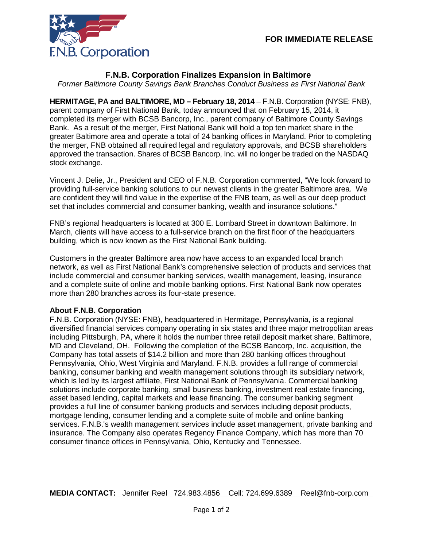

## **F.N.B. Corporation Finalizes Expansion in Baltimore**

*Former Baltimore County Savings Bank Branches Conduct Business as First National Bank*

**HERMITAGE, PA and BALTIMORE, MD – February 18, 2014** – F.N.B. Corporation (NYSE: FNB), parent company of First National Bank, today announced that on February 15, 2014, it completed its merger with BCSB Bancorp, Inc., parent company of Baltimore County Savings Bank. As a result of the merger, First National Bank will hold a top ten market share in the greater Baltimore area and operate a total of 24 banking offices in Maryland. Prior to completing the merger, FNB obtained all required legal and regulatory approvals, and BCSB shareholders approved the transaction. Shares of BCSB Bancorp, Inc. will no longer be traded on the NASDAQ stock exchange.

Vincent J. Delie, Jr., President and CEO of F.N.B. Corporation commented, "We look forward to providing full-service banking solutions to our newest clients in the greater Baltimore area. We are confident they will find value in the expertise of the FNB team, as well as our deep product set that includes commercial and consumer banking, wealth and insurance solutions."

FNB's regional headquarters is located at 300 E. Lombard Street in downtown Baltimore. In March, clients will have access to a full-service branch on the first floor of the headquarters building, which is now known as the First National Bank building.

Customers in the greater Baltimore area now have access to an expanded local branch network, as well as First National Bank's comprehensive selection of products and services that include commercial and consumer banking services, wealth management, leasing, insurance and a complete suite of online and mobile banking options. First National Bank now operates more than 280 branches across its four-state presence.

## **About F.N.B. Corporation**

F.N.B. Corporation (NYSE: FNB), headquartered in Hermitage, Pennsylvania, is a regional diversified financial services company operating in six states and three major metropolitan areas including Pittsburgh, PA, where it holds the number three retail deposit market share, Baltimore, MD and Cleveland, OH. Following the completion of the BCSB Bancorp, Inc. acquisition, the Company has total assets of \$14.2 billion and more than 280 banking offices throughout Pennsylvania, Ohio, West Virginia and Maryland. F.N.B. provides a full range of commercial banking, consumer banking and wealth management solutions through its subsidiary network, which is led by its largest affiliate, First National Bank of Pennsylvania. Commercial banking solutions include corporate banking, small business banking, investment real estate financing, asset based lending, capital markets and lease financing. The consumer banking segment provides a full line of consumer banking products and services including deposit products, mortgage lending, consumer lending and a complete suite of mobile and online banking services. F.N.B.'s wealth management services include asset management, private banking and insurance. The Company also operates Regency Finance Company, which has more than 70 consumer finance offices in Pennsylvania, Ohio, Kentucky and Tennessee.

**MEDIA CONTACT:** Jennifer Reel 724.983.4856 Cell: 724.699.6389 Reel@fnb-corp.com